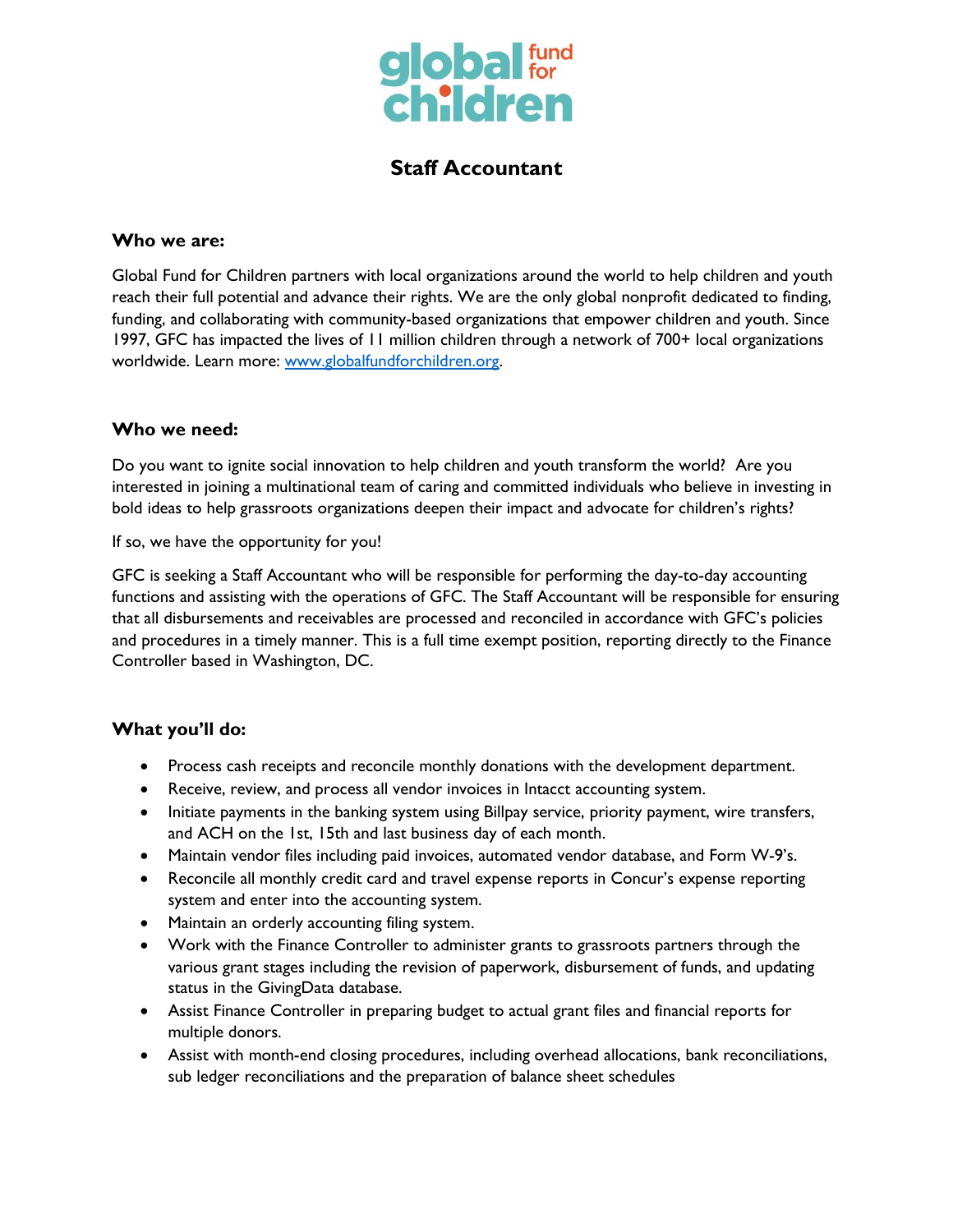

# **Staff Accountant**

#### **Who we are:**

Global Fund for Children partners with local organizations around the world to help children and youth reach their full potential and advance their rights. We are the only global nonprofit dedicated to finding, funding, and collaborating with community-based organizations that empower children and youth. Since 1997, GFC has impacted the lives of 11 million children through a network of 700+ local organizations worldwide. Learn more: [www.globalfundforchildren.org.](http://www.globalfundforchildren.org/)

#### **Who we need:**

Do you want to ignite social innovation to help children and youth transform the world? Are you interested in joining a multinational team of caring and committed individuals who believe in investing in bold ideas to help grassroots organizations deepen their impact and advocate for children's rights?

If so, we have the opportunity for you!

GFC is seeking a Staff Accountant who will be responsible for performing the day-to-day accounting functions and assisting with the operations of GFC. The Staff Accountant will be responsible for ensuring that all disbursements and receivables are processed and reconciled in accordance with GFC's policies and procedures in a timely manner. This is a full time exempt position, reporting directly to the Finance Controller based in Washington, DC.

#### **What you'll do:**

- Process cash receipts and reconcile monthly donations with the development department.
- Receive, review, and process all vendor invoices in Intacct accounting system.
- Initiate payments in the banking system using Billpay service, priority payment, wire transfers, and ACH on the 1st, 15th and last business day of each month.
- Maintain vendor files including paid invoices, automated vendor database, and Form W-9's.
- Reconcile all monthly credit card and travel expense reports in Concur's expense reporting system and enter into the accounting system.
- Maintain an orderly accounting filing system.
- Work with the Finance Controller to administer grants to grassroots partners through the various grant stages including the revision of paperwork, disbursement of funds, and updating status in the GivingData database.
- Assist Finance Controller in preparing budget to actual grant files and financial reports for multiple donors.
- Assist with month-end closing procedures, including overhead allocations, bank reconciliations, sub ledger reconciliations and the preparation of balance sheet schedules